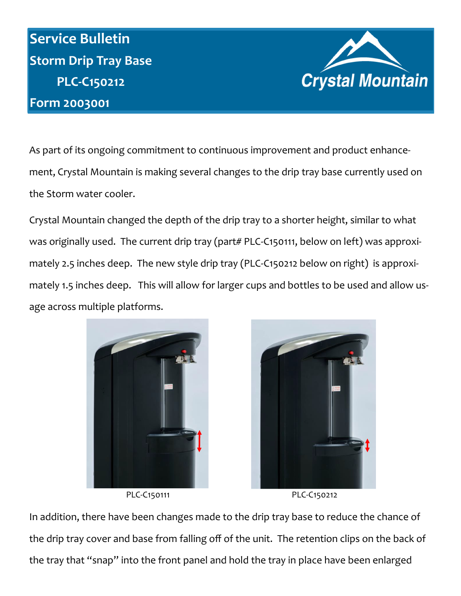## **Service Bulletin Storm Drip Tray Base PLC-C150212 Form 2003001**



As part of its ongoing commitment to continuous improvement and product enhancement, Crystal Mountain is making several changes to the drip tray base currently used on the Storm water cooler.

Crystal Mountain changed the depth of the drip tray to a shorter height, similar to what was originally used. The current drip tray (part# PLC-C150111, below on left) was approximately 2.5 inches deep. The new style drip tray (PLC-C150212 below on right) is approximately 1.5 inches deep. This will allow for larger cups and bottles to be used and allow usage across multiple platforms.









In addition, there have been changes made to the drip tray base to reduce the chance of the drip tray cover and base from falling off of the unit. The retention clips on the back of the tray that "snap" into the front panel and hold the tray in place have been enlarged